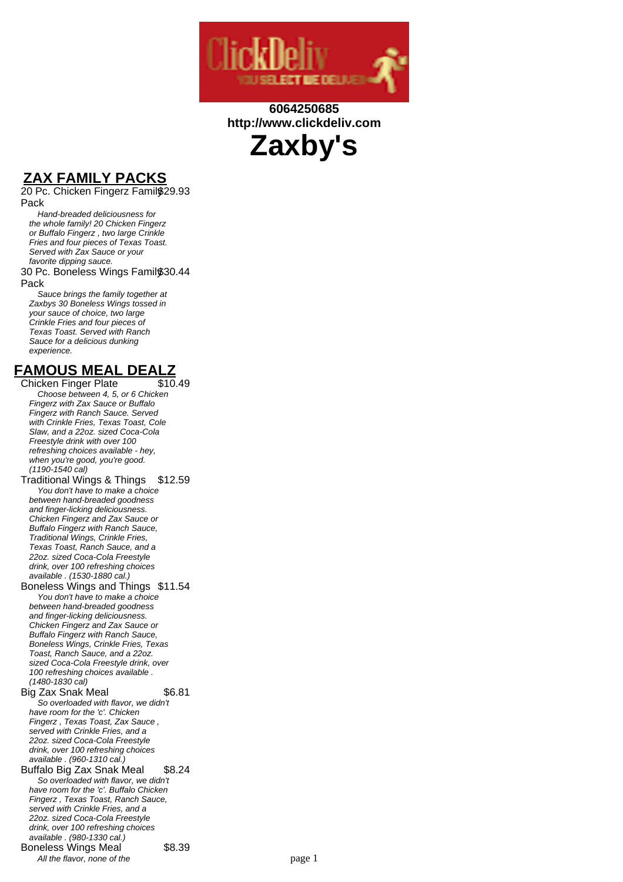

### **6064250685 http://www.clickdeliv.com**



# **ZAX FAMILY PACKS**

20 Pc. Chicken Fingerz Family \$29.93 Pack

Hand-breaded deliciousness for the whole family! 20 Chicken Fingerz or Buffalo Fingerz , two large Crinkle Fries and four pieces of Texas Toast. Served with Zax Sauce or your favorite dipping sauce.

#### 30 Pc. Boneless Wings Family \$30.44 Pack

Sauce brings the family together at Zaxbys 30 Boneless Wings tossed in your sauce of choice, two large Crinkle Fries and four pieces of Texas Toast. Served with Ranch Sauce for a delicious dunking experience.

# **FAMOUS MEAL DEALZ**

Chicken Finger Plate Choose between 4, 5, or 6 Chicken Fingerz with Zax Sauce or Buffalo Fingerz with Ranch Sauce. Served with Crinkle Fries, Texas Toast, Cole Slaw, and a 22oz. sized Coca-Cola Freestyle drink with over 100 refreshing choices available - hey, when you're good, you're good. (1190-1540 cal)

Traditional Wings & Things \$12.59 You don't have to make a choice between hand-breaded goodness and finger-licking deliciousness. Chicken Fingerz and Zax Sauce or Buffalo Fingerz with Ranch Sauce, Traditional Wings, Crinkle Fries, Texas Toast, Ranch Sauce, and a 22oz. sized Coca-Cola Freestyle drink, over 100 refreshing choices available . (1530-1880 cal.) Boneless Wings and Things \$11.54

You don't have to make a choice between hand-breaded goodness and finger-licking deliciousness. Chicken Fingerz and Zax Sauce or Buffalo Fingerz with Ranch Sauce, Boneless Wings, Crinkle Fries, Texas Toast, Ranch Sauce, and a 22oz. sized Coca-Cola Freestyle drink, over 100 refreshing choices available . (1480-1830 cal)

Big Zax Snak Meal \$6.81 So overloaded with flavor, we didn't have room for the 'c'. Chicken Fingerz , Texas Toast, Zax Sauce , served with Crinkle Fries, and a 22oz. sized Coca-Cola Freestyle

drink, over 100 refreshing choices available . (960-1310 cal.) Buffalo Big Zax Snak Meal \$8.24 So overloaded with flavor, we didn't have room for the 'c'. Buffalo Chicken Fingerz , Texas Toast, Ranch Sauce, served with Crinkle Fries, and a 22oz. sized Coca-Cola Freestyle drink, over 100 refreshing choices available . (980-1330 cal.) Boneless Wings Meal \$8.39 All the flavor, none of the page 1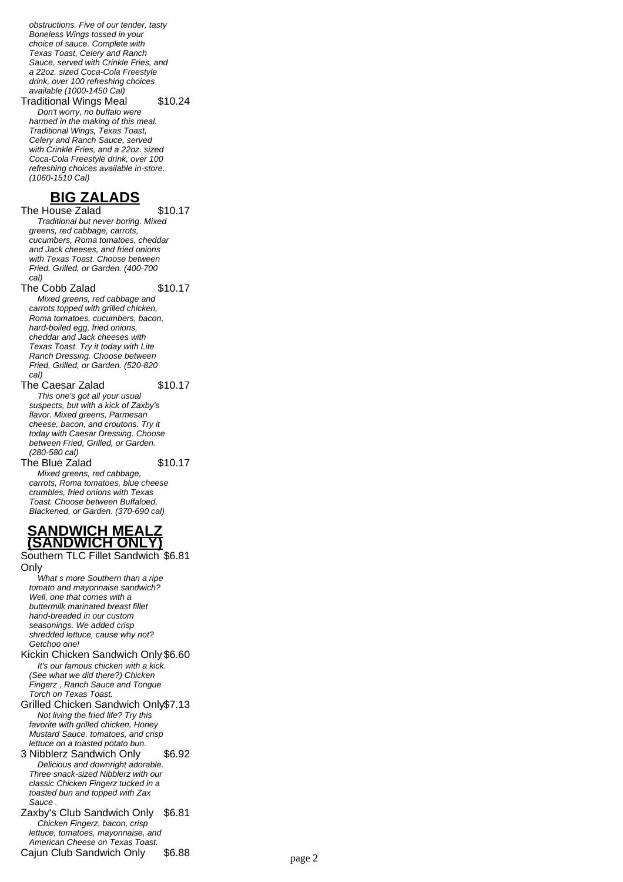obstructions. Five of our tender, tasty Boneless Wings tossed in your choice of sauce. Complete with Texas Toast, Celery and Ranch Sauce, served with Crinkle Fries, and a 22oz. sized Coca-Cola Freestyle drink, over 100 refreshing choices available (1000-1450 Cal)

Traditional Wings Meal \$10.24

Don't worry, no buffalo were harmed in the making of this meal. Traditional Wings, Texas Toast, Celery and Ranch Sauce, served with Crinkle Fries, and a 22oz. sized Coca-Cola Freestyle drink, over 100 refreshing choices available in-store. (1060-1510 Cal)

### **BIG ZALADS**

The House Zalad \$10.17 Traditional but never boring. Mixed greens, red cabbage, carrots, cucumbers, Roma tomatoes, cheddar and Jack cheeses, and fried onions with Texas Toast. Choose between Fried, Grilled, or Garden. (400-700 cal)

The Cobb Zalad \$10.17

Mixed greens, red cabbage and carrots topped with grilled chicken, Roma tomatoes, cucumbers, bacon, hard-boiled egg, fried onions, cheddar and Jack cheeses with Texas Toast. Try it today with Lite Ranch Dressing. Choose between Fried, Grilled, or Garden. (520-820 cal)

The Caesar Zalad \$10.17 This one's got all your usual suspects, but with a kick of Zaxby's flavor. Mixed greens, Parmesan cheese, bacon, and croutons. Try it today with Caesar Dressing. Choose between Fried, Grilled, or Garden. (280-580 cal) The Blue Zalad \$10.17

Mixed greens, red cabbage, carrots, Roma tomatoes, blue cheese crumbles, fried onions with Texas Toast. Choose between Buffaloed,

### **SANDWICH MEALZ (SANDWICH ONLY)**

Blackened, or Garden. (370-690 cal)

Southern TLC Fillet Sandwich \$6.81 **Only** 

What s more Southern than a ripe tomato and mayonnaise sandwich? Well, one that comes with a buttermilk marinated breast fillet hand-breaded in our custom seasonings. We added crisp shredded lettuce, cause why not? Getchoo one!

Kickin Chicken Sandwich Only \$6.60 It's our famous chicken with a kick. (See what we did there?) Chicken Fingerz , Ranch Sauce and Tongue Torch on Texas Toast.

Grilled Chicken Sandwich Only\$7.13 Not living the fried life? Try this favorite with grilled chicken. Honey Mustard Sauce, tomatoes, and crisp lettuce on a toasted potato bun.

3 Nibblerz Sandwich Only \$6.92 Delicious and downright adorable. Three snack-sized Nibblerz with our classic Chicken Fingerz tucked in a toasted bun and topped with Zax Sauce .

Zaxby's Club Sandwich Only \$6.81 Chicken Fingerz, bacon, crisp lettuce, tomatoes, mayonnaise, and American Cheese on Texas Toast. Cajun Club Sandwich Only \$6.88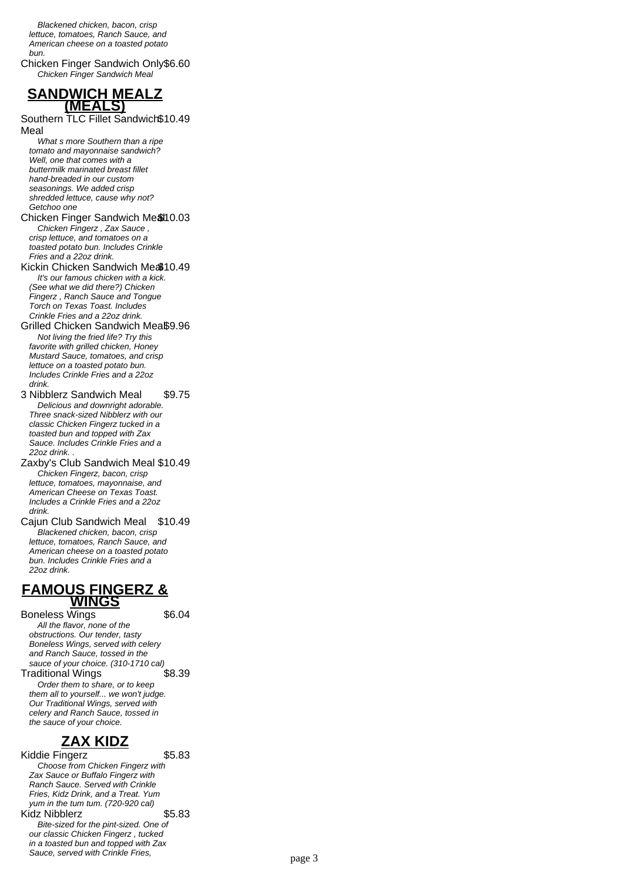Blackened chicken, bacon, crisp lettuce, tomatoes, Ranch Sauce, and American cheese on a toasted potato bun.

Chicken Finger Sandwich Only\$6.60 Chicken Finger Sandwich Meal

### **SANDWICH MEALZ (MEALS)**

Southern TLC Fillet Sandwich \$10.49 Meal

What s more Southern than a ripe tomato and mayonnaise sandwich? Well, one that comes with a buttermilk marinated breast fillet hand-breaded in our custom seasonings. We added crisp shredded lettuce, cause why not? Getchoo one

Chicken Finger Sandwich Me&10.03 Chicken Fingerz , Zax Sauce , crisp lettuce, and tomatoes on a toasted potato bun. Includes Crinkle Fries and a 22oz drink.

#### Kickin Chicken Sandwich Mea10.49 It's our famous chicken with a kick. (See what we did there?) Chicken Fingerz , Ranch Sauce and Tongue Torch on Texas Toast. Includes Crinkle Fries and a 22oz drink.

Grilled Chicken Sandwich Meaß9.96 Not living the fried life? Try this favorite with grilled chicken, Honey Mustard Sauce, tomatoes, and crisp lettuce on a toasted potato bun. Includes Crinkle Fries and a 22oz drink.

3 Nibblerz Sandwich Meal \$9.75 Delicious and downright adorable. Three snack-sized Nibblerz with our classic Chicken Fingerz tucked in a toasted bun and topped with Zax Sauce. Includes Crinkle Fries and a 22oz drink. .

Zaxby's Club Sandwich Meal \$10.49 Chicken Fingerz, bacon, crisp lettuce, tomatoes, mayonnaise, and American Cheese on Texas Toast. Includes a Crinkle Fries and a 22oz drink.

Cajun Club Sandwich Meal \$10.49 Blackened chicken, bacon, crisp lettuce, tomatoes, Ranch Sauce, and American cheese on a toasted potato bun. Includes Crinkle Fries and a 22oz drink.

### **FAMOUS FINGERZ & WINGS**

Boneless Wings 56.04 All the flavor, none of the obstructions. Our tender, tasty Boneless Wings, served with celery and Ranch Sauce, tossed in the sauce of your choice. (310-1710 cal)<br>raditional Wings \$8.39 Traditional Wings Order them to share, or to keep them all to yourself... we won't judge. Our Traditional Wings, served with celery and Ranch Sauce, tossed in the sauce of your choice.

# **ZAX KIDZ**

Kiddie Fingerz **\$5.83** Choose from Chicken Fingerz with Zax Sauce or Buffalo Fingerz with Ranch Sauce. Served with Crinkle Fries, Kidz Drink, and a Treat. Yum yum in the tum tum. (720-920 cal) Kidz Nibblerz  $$5.83$ Bite-sized for the pint-sized. One of our classic Chicken Fingerz , tucked in a toasted bun and topped with Zax Sauce, served with Crinkle Fries,<br>page 3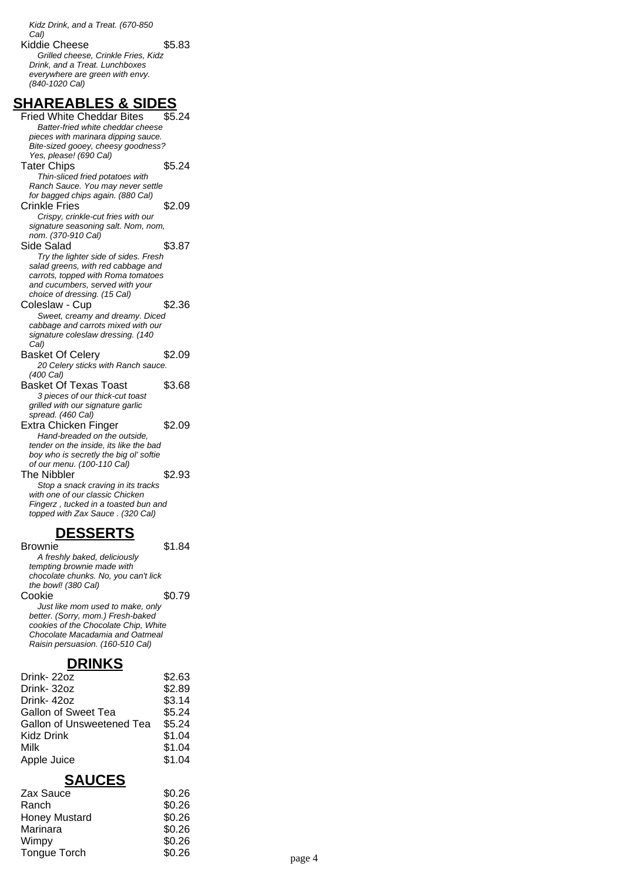Kidz Drink, and a Treat. (670-850 Cal) Kiddie Cheese  $$5.83$ Grilled cheese, Crinkle Fries, Kidz Drink, and a Treat. Lunchboxes everywhere are green with envy. (840-1020 Cal)

### **SHAREABLES & SIDES**

Fried White Cheddar Bites \$5.24 Batter-fried white cheddar cheese pieces with marinara dipping sauce. Bite-sized gooey, cheesy goodness? Yes, please! (690 Cal) Tater Chips \$5.24 Thin-sliced fried potatoes with Ranch Sauce. You may never settle for bagged chips again. (880 Cal) Crinkle Fries \$2.09 Crispy, crinkle-cut fries with our signature seasoning salt. Nom, nom, nom. (370-910 Cal) Side Salad \$3.87 Try the lighter side of sides. Fresh salad greens, with red cabbage and carrots, topped with Roma tomatoes and cucumbers, served with your choice of dressing. (15 Cal) Coleslaw - Cup \$2.36 Sweet, creamy and dreamy. Diced cabbage and carrots mixed with our signature coleslaw dressing. (140 Cal) Basket Of Celery \$2.09 20 Celery sticks with Ranch sauce. (400 Cal) Basket Of Texas Toast \$3.68 3 pieces of our thick-cut toast grilled with our signature garlic spread. (460 Cal) Extra Chicken Finger \$2.09 Hand-breaded on the outside, tender on the inside, its like the bad boy who is secretly the big ol' softie of our menu. (100-110 Cal) The Nibbler  $\sim$  \$2.93 Stop a snack craving in its tracks with one of our classic Chicken Fingerz , tucked in a toasted bun and topped with Zax Sauce . (320 Cal)

#### **DESSERTS**

Brownie \$1.84 A freshly baked, deliciously tempting brownie made with chocolate chunks. No, you can't lick the bowl! (380 Cal) Cookie \$0.79 Just like mom used to make, only better. (Sorry, mom.) Fresh-baked cookies of the Chocolate Chip, White Chocolate Macadamia and Oatmeal Raisin persuasion. (160-510 Cal)

### **DRINKS**

| Drink-22oz                | \$2.63 |
|---------------------------|--------|
| Drink-32oz                | \$2.89 |
| Drink-42oz                | \$3.14 |
| Gallon of Sweet Tea       | \$5.24 |
| Gallon of Unsweetened Tea | \$5.24 |
| Kidz Drink                | \$1.04 |
| Milk                      | \$1.04 |
| Apple Juice               | \$1.04 |

### **SAUCES**

| Zax Sauce            | \$0.26 |        |
|----------------------|--------|--------|
| Ranch                | \$0.26 |        |
| <b>Honey Mustard</b> | \$0.26 |        |
| Marinara             | \$0.26 |        |
| Wimpy                | \$0.26 |        |
| Tongue Torch         | \$0.26 | page 4 |